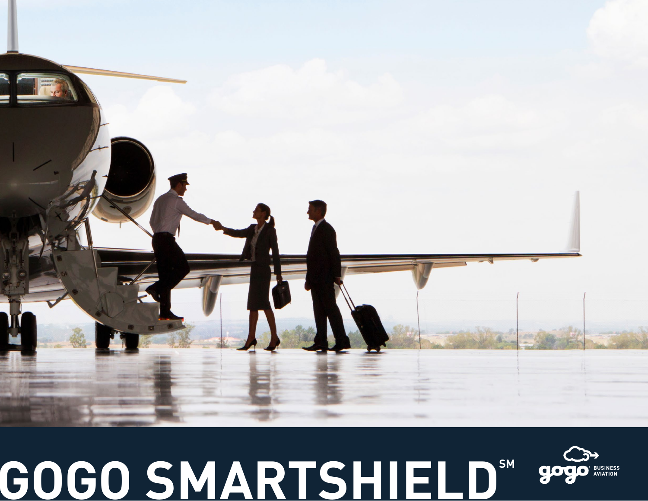# **GOGO SMARTSHIELD®**

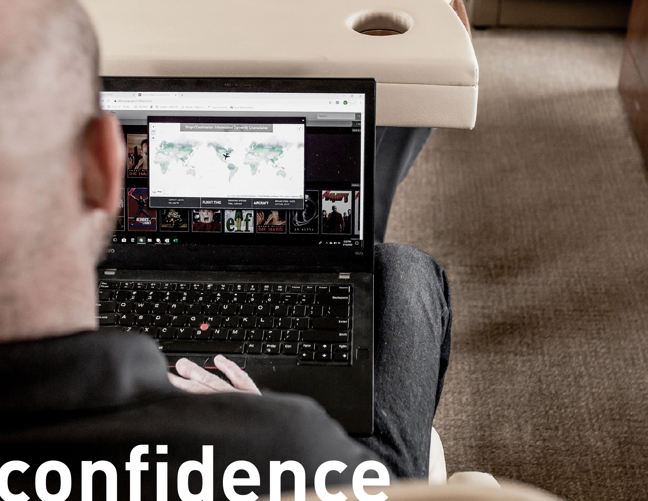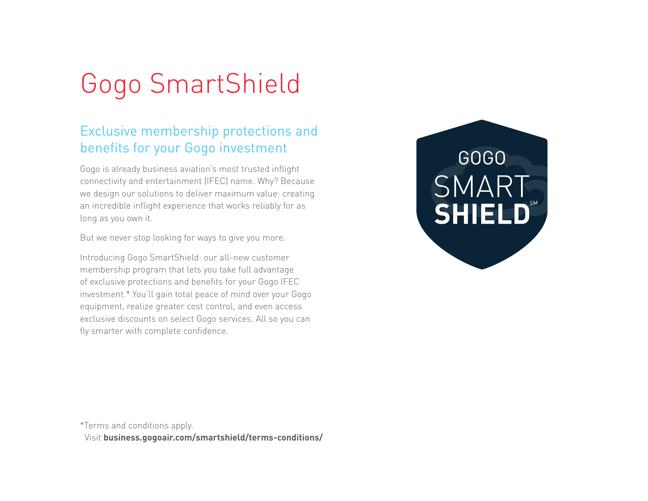## Gogo SmartShield

### Exclusive membership protections and benefits for your Gogo investment

Gogo is already business aviation's most trusted inflight connectivity and entertainment (IFEC) name. Why? Because we design our solutions to deliver maximum value: creating an incredible inflight experience that works reliably for as long as you own it.

But we never stop looking for ways to give you more.

Introducing Gogo SmartShield: our all-new customer membership program that lets you take full advantage of exclusive protections and benefits for your Gogo IFEC investment.\* You'll gain total peace of mind over your Gogo equipment, realize greater cost control, and even access exclusive discounts on select Gogo services. All so you can fly smarter with complete confidence.



\*Terms and conditions apply.

Visit **business.gogoair.com/smartshield/terms-conditions/**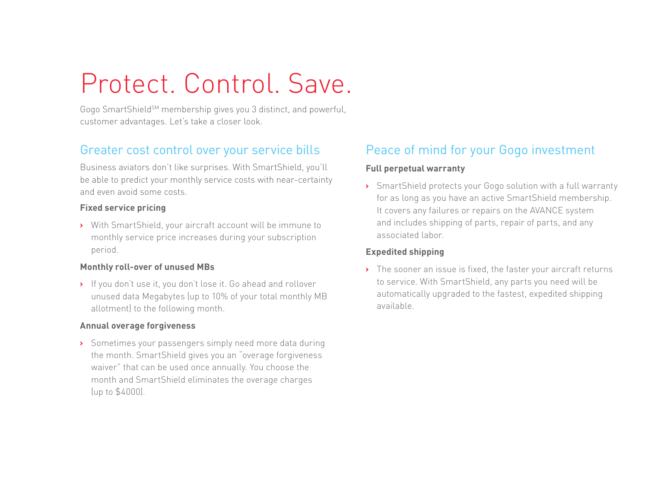### Protect. Control. Save.

Gogo SmartShield<sup>SM</sup> membership gives you 3 distinct, and powerful, customer advantages. Let's take a closer look.

#### Greater cost control over your service bills

Business aviators don't like surprises. With SmartShield, you'll be able to predict your monthly service costs with near-certainty and even avoid some costs.

#### **Fixed service pricing**

**›** With SmartShield, your aircraft account will be immune to monthly service price increases during your subscription period.

#### **Monthly roll-over of unused MBs**

**›** If you don't use it, you don't lose it. Go ahead and rollover unused data Megabytes (up to 10% of your total monthly MB allotment) to the following month.

#### **Annual overage forgiveness**

**›** Sometimes your passengers simply need more data during the month. SmartShield gives you an "overage forgiveness waiver" that can be used once annually. You choose the month and SmartShield eliminates the overage charges (up to \$4000).

#### Peace of mind for your Gogo investment

#### **Full perpetual warranty**

**›** SmartShield protects your Gogo solution with a full warranty for as long as you have an active SmartShield membership. It covers any failures or repairs on the AVANCE system and includes shipping of parts, repair of parts, and any associated labor.

#### **Expedited shipping**

**›** The sooner an issue is fixed, the faster your aircraft returns to service. With SmartShield, any parts you need will be automatically upgraded to the fastest, expedited shipping available.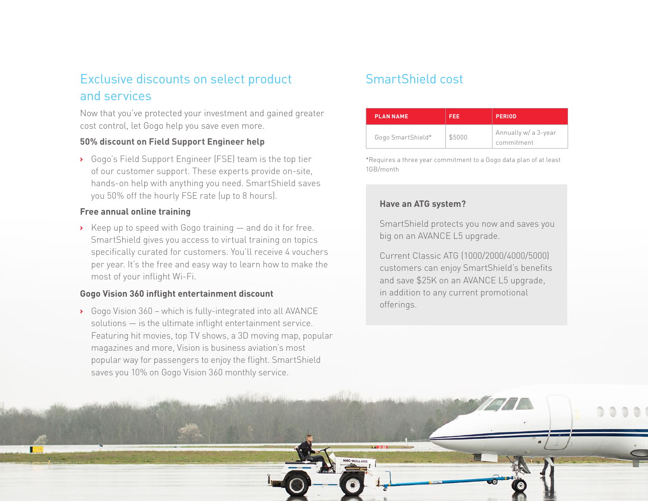#### Exclusive discounts on select product and services

Now that you've protected your investment and gained greater cost control, let Gogo help you save even more.

#### **50% discount on Field Support Engineer help**

**›** Gogo's Field Support Engineer (FSE) team is the top tier of our customer support. These experts provide on-site, hands-on help with anything you need. SmartShield saves you 50% off the hourly FSE rate (up to 8 hours).

#### **Free annual online training**

**›** Keep up to speed with Gogo training — and do it for free. SmartShield gives you access to virtual training on topics specifically curated for customers. You'll receive 4 vouchers per year. It's the free and easy way to learn how to make the most of your inflight Wi-Fi.

#### **Gogo Vision 360 inflight entertainment discount**

**›** Gogo Vision 360 – which is fully-integrated into all AVANCE solutions — is the ultimate inflight entertainment service. Featuring hit movies, top TV shows, a 3D moving map, popular magazines and more, Vision is business aviation's most popular way for passengers to enjoy the flight. SmartShield saves you 10% on Gogo Vision 360 monthly service.

#### SmartShield cost

| <b>PLAN NAME</b>  | <b>FEE</b> | <b>PERIOD</b>                      |
|-------------------|------------|------------------------------------|
| Gogo SmartShield* | \$5000     | Annually w/ a 3-year<br>commitment |

\*Requires a three year commitment to a Gogo data plan of at least 1GB/month

#### **Have an ATG system?**

SmartShield protects you now and saves you big on an AVANCE L5 upgrade.

Current Classic ATG (1000/2000/4000/5000) customers can enjoy SmartShield's benefits and save \$25K on an AVANCE L5 upgrade, in addition to any current promotional offerings.